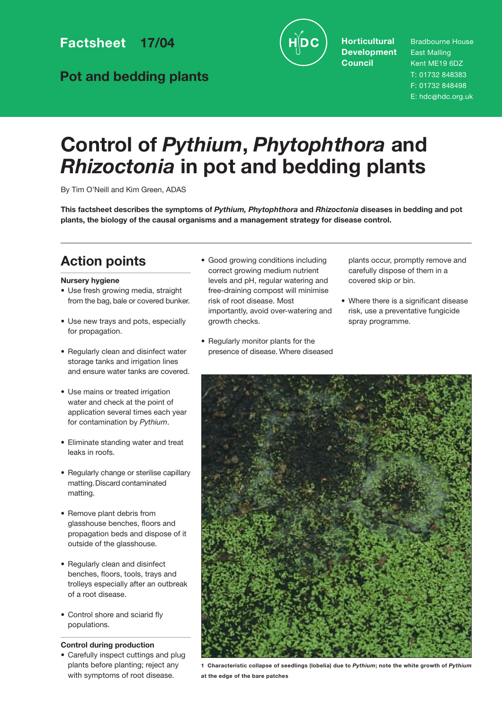**Factsheet 17/04**

**Pot and bedding plants**



**Horticultural Development Council**

Bradbourne House East Malling Kent ME19 6DZ T: 01732 848383 F: 01732 848498 E: hdc@hdc.org.uk

# **Control of** *Pythium***,** *Phytophthora* **and** *Rhizoctonia* **in pot and bedding plants**

By Tim O'Neill and Kim Green, ADAS

**This factsheet describes the symptoms of** *Pythium, Phytophthora* **and** *Rhizoctonia* **diseases in bedding and pot plants, the biology of the causal organisms and a management strategy for disease control.**

# **Action points**

### **Nursery hygiene**

- Use fresh growing media, straight from the bag, bale or covered bunker.
- Use new trays and pots, especially for propagation.
- Regularly clean and disinfect water storage tanks and irrigation lines and ensure water tanks are covered.
- Use mains or treated irrigation water and check at the point of application several times each year for contamination by *Pythium*.
- Eliminate standing water and treat leaks in roofs.
- Regularly change or sterilise capillary matting.Discard contaminated matting.
- Remove plant debris from glasshouse benches, floors and propagation beds and dispose of it outside of the glasshouse.
- Regularly clean and disinfect benches, floors, tools, trays and trolleys especially after an outbreak of a root disease.
- Control shore and sciarid fly populations.

### **Control during production**

• Carefully inspect cuttings and plug plants before planting; reject any with symptoms of root disease.

- Good growing conditions including correct growing medium nutrient levels and pH, regular watering and free-draining compost will minimise risk of root disease. Most importantly, avoid over-watering and growth checks.
- Regularly monitor plants for the presence of disease. Where diseased

plants occur, promptly remove and carefully dispose of them in a covered skip or bin.

• Where there is a significant disease risk, use a preventative fungicide spray programme.



**1 Characteristic collapse of seedlings (lobelia) due to** *Pythium***; note the white growth of** *Pythium* **at the edge of the bare patches**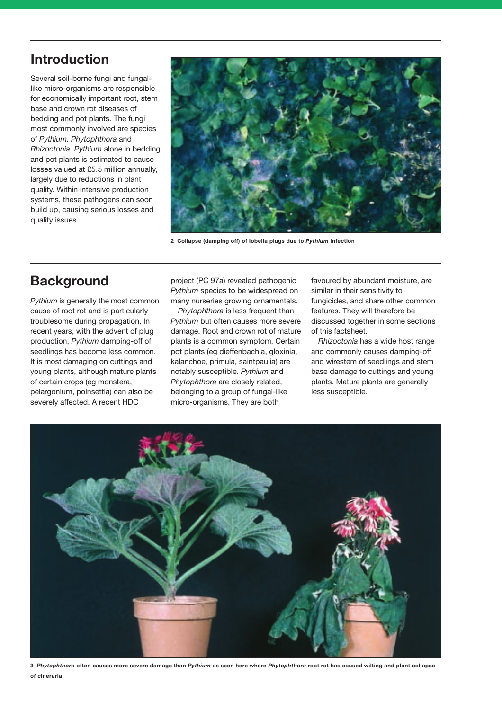# **Introduction**

Several soil-borne fungi and fungallike micro-organisms are responsible for economically important root, stem base and crown rot diseases of bedding and pot plants. The fungi most commonly involved are species of *Pythium, Phytophthora* and *Rhizoctonia*. *Pythium* alone in bedding and pot plants is estimated to cause losses valued at £5.5 million annually, largely due to reductions in plant quality. Within intensive production systems, these pathogens can soon build up, causing serious losses and quality issues.



**2 Collapse (damping off) of Iobelia plugs due to** *Pythium* **infection**

# **Background**

*Pythium* is generally the most common cause of root rot and is particularly troublesome during propagation. In recent years, with the advent of plug production, *Pythium* damping-off of seedlings has become less common. It is most damaging on cuttings and young plants, although mature plants of certain crops (eg monstera, pelargonium, poinsettia) can also be severely affected. A recent HDC

project (PC 97a) revealed pathogenic *Pythium* species to be widespread on many nurseries growing ornamentals.

*Phytophthora* is less frequent than *Pythium* but often causes more severe damage. Root and crown rot of mature plants is a common symptom. Certain pot plants (eg dieffenbachia, gloxinia, kalanchoe, primula, saintpaulia) are notably susceptible. *Pythium* and *Phytophthora* are closely related, belonging to a group of fungal-like micro-organisms. They are both

favoured by abundant moisture, are similar in their sensitivity to fungicides, and share other common features. They will therefore be discussed together in some sections of this factsheet.

*Rhizoctonia* has a wide host range and commonly causes damping-off and wirestem of seedlings and stem base damage to cuttings and young plants. Mature plants are generally less susceptible.



**3** *Phytophthora* **often causes more severe damage than** *Pythium* **as seen here where** *Phytophthora* **root rot has caused wilting and plant collapse of cineraria**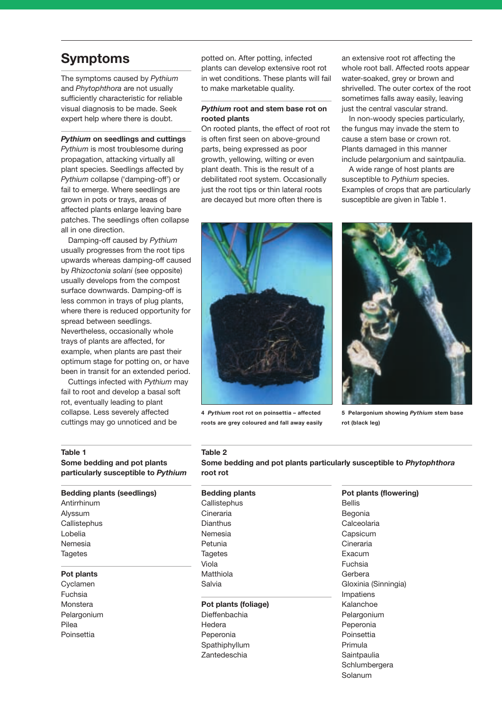# **Symptoms**

The symptoms caused by *Pythium* and *Phytophthora* are not usually sufficiently characteristic for reliable visual diagnosis to be made. Seek expert help where there is doubt.

#### *Pythium* **on seedlings and cuttings**

*Pythium* is most troublesome during propagation, attacking virtually all plant species. Seedlings affected by *Pythium* collapse ('damping-off') or fail to emerge. Where seedlings are grown in pots or trays, areas of affected plants enlarge leaving bare patches. The seedlings often collapse all in one direction.

Damping-off caused by *Pythium* usually progresses from the root tips upwards whereas damping-off caused by *Rhizoctonia solani* (see opposite) usually develops from the compost surface downwards. Damping-off is less common in trays of plug plants, where there is reduced opportunity for spread between seedlings. Nevertheless, occasionally whole trays of plants are affected, for example, when plants are past their optimum stage for potting on, or have been in transit for an extended period.

Cuttings infected with *Pythium* may fail to root and develop a basal soft rot, eventually leading to plant collapse. Less severely affected cuttings may go unnoticed and be

potted on. After potting, infected plants can develop extensive root rot in wet conditions. These plants will fail to make marketable quality.

### *Pythium* **root and stem base rot on rooted plants**

On rooted plants, the effect of root rot is often first seen on above-ground parts, being expressed as poor growth, yellowing, wilting or even plant death. This is the result of a debilitated root system. Occasionally just the root tips or thin lateral roots are decayed but more often there is

an extensive root rot affecting the whole root ball. Affected roots appear water-soaked, grey or brown and shrivelled. The outer cortex of the root sometimes falls away easily, leaving just the central vascular strand.

In non-woody species particularly, the fungus may invade the stem to cause a stem base or crown rot. Plants damaged in this manner include pelargonium and saintpaulia.

A wide range of host plants are susceptible to *Pythium* species. Examples of crops that are particularly susceptible are given in Table 1.



**4** *Pythium* **root rot on poinsettia – affected roots are grey coloured and fall away easily** 



**5 Pelargonium showing** *Pythium* **stem base rot (black leg)**

#### **Table 1**

**Some bedding and pot plants particularly susceptible to** *Pythium*

### **Bedding plants (seedlings)**

Antirrhinum Alyssum **Callistephus** Lobelia Nemesia **Tagetes** 

#### **Pot plants**

Cyclamen Fuchsia Monstera Pelargonium Pilea Poinsettia

# **Table 2**

**Some bedding and pot plants particularly susceptible to** *Phytophthora* **root rot**

# **Bedding plants Callistephus** Cineraria Dianthus Nemesia Petunia **Tagetes** Viola Matthiola Salvia **Pot plants (foliage)**

Dieffenbachia Hedera Peperonia Spathiphyllum Zantedeschia

**Pot plants (flowering)** Bellis Begonia Calceolaria Capsicum Cineraria Exacum Fuchsia Gerbera Gloxinia (Sinningia) Impatiens Kalanchoe Pelargonium Peperonia Poinsettia Primula **Saintpaulia Schlumbergera** Solanum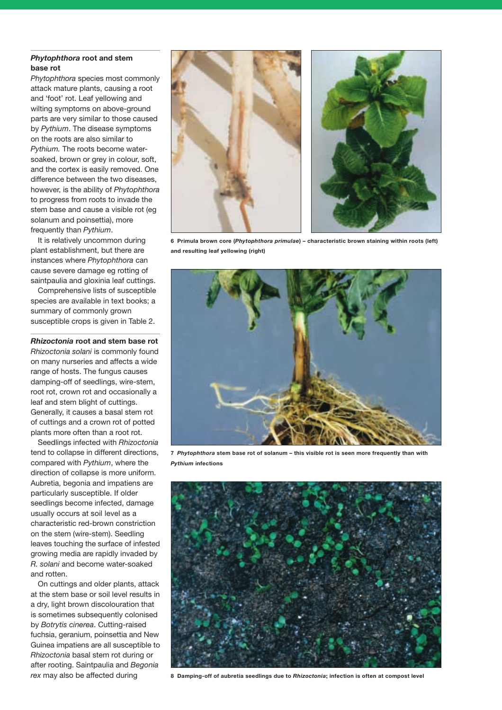### *Phytophthora* **root and stem base rot**

*Phytophthora* species most commonly attack mature plants, causing a root and 'foot' rot. Leaf yellowing and wilting symptoms on above-ground parts are very similar to those caused by *Pythium*. The disease symptoms on the roots are also similar to *Pythium.* The roots become watersoaked, brown or grey in colour, soft, and the cortex is easily removed. One difference between the two diseases, however, is the ability of *Phytophthora* to progress from roots to invade the stem base and cause a visible rot (eg solanum and poinsettia), more frequently than *Pythium*.

It is relatively uncommon during plant establishment, but there are instances where *Phytophthora* can cause severe damage eg rotting of saintpaulia and gloxinia leaf cuttings.

Comprehensive lists of susceptible species are available in text books; a summary of commonly grown susceptible crops is given in Table 2.

*Rhizoctonia* **root and stem base rot** *Rhizoctonia solani* is commonly found on many nurseries and affects a wide range of hosts. The fungus causes damping-off of seedlings, wire-stem, root rot, crown rot and occasionally a leaf and stem blight of cuttings. Generally, it causes a basal stem rot of cuttings and a crown rot of potted plants more often than a root rot.

Seedlings infected with *Rhizoctonia* tend to collapse in different directions, compared with *Pythium*, where the direction of collapse is more uniform. Aubretia, begonia and impatiens are particularly susceptible. If older seedlings become infected, damage usually occurs at soil level as a characteristic red-brown constriction on the stem (wire-stem). Seedling leaves touching the surface of infested growing media are rapidly invaded by *R. solani* and become water-soaked and rotten.

On cuttings and older plants, attack at the stem base or soil level results in a dry, light brown discolouration that is sometimes subsequently colonised by *Botrytis cinerea*. Cutting-raised fuchsia, geranium, poinsettia and New Guinea impatiens are all susceptible to *Rhizoctonia* basal stem rot during or after rooting. Saintpaulia and *Begonia*





**6 Primula brown core (***Phytophthora primulae***) – characteristic brown staining within roots (left) and resulting leaf yellowing (right)** 



**7** *Phytophthora* **stem base rot of solanum – this visible rot is seen more frequently than with** *Pythium* **infections**



*rex* may also be affected during **8 Damping-off of aubretia seedlings due to** *Rhizoctonia***; infection is often at compost level**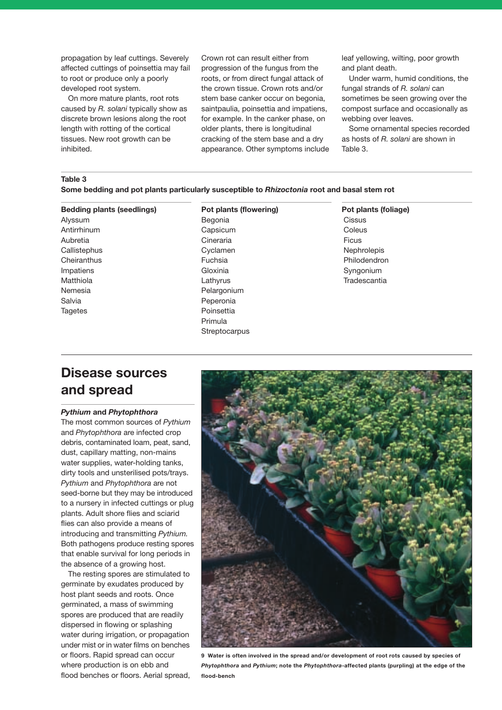propagation by leaf cuttings. Severely affected cuttings of poinsettia may fail to root or produce only a poorly developed root system.

On more mature plants, root rots caused by *R. solani* typically show as discrete brown lesions along the root length with rotting of the cortical tissues. New root growth can be inhibited.

Crown rot can result either from progression of the fungus from the roots, or from direct fungal attack of the crown tissue. Crown rots and/or stem base canker occur on begonia, saintpaulia, poinsettia and impatiens, for example. In the canker phase, on older plants, there is longitudinal cracking of the stem base and a dry appearance. Other symptoms include leaf yellowing, wilting, poor growth and plant death.

Under warm, humid conditions, the fungal strands of *R. solani* can sometimes be seen growing over the compost surface and occasionally as webbing over leaves.

Some ornamental species recorded as hosts of *R. solani* are shown in Table 3.

# **Table 3**

**Some bedding and pot plants particularly susceptible to** *Rhizoctonia* **root and basal stem rot**

#### **Bedding plants (seedlings)**

Alyssum Antirrhinum Aubretia **Callistephus Cheiranthus** Impatiens Matthiola Nemesia Salvia **Tagetes** 

# **Pot plants (flowering)**

Begonia Capsicum Cineraria Cyclamen Fuchsia Gloxinia Lathyrus Pelargonium Peperonia Poinsettia Primula **Streptocarpus**  **Pot plants (foliage) Cissus** Coleus Ficus Nephrolepis Philodendron Syngonium **Tradescantia** 

# **Disease sources and spread**

#### *Pythium* **and** *Phytophthora*

The most common sources of *Pythium* and *Phytophthora* are infected crop debris, contaminated loam, peat, sand, dust, capillary matting, non-mains water supplies, water-holding tanks, dirty tools and unsterilised pots/trays. *Pythium* and *Phytophthora* are not seed-borne but they may be introduced to a nursery in infected cuttings or plug plants. Adult shore flies and sciarid flies can also provide a means of introducing and transmitting *Pythium.* Both pathogens produce resting spores that enable survival for long periods in the absence of a growing host.

The resting spores are stimulated to germinate by exudates produced by host plant seeds and roots. Once germinated, a mass of swimming spores are produced that are readily dispersed in flowing or splashing water during irrigation, or propagation under mist or in water films on benches or floors. Rapid spread can occur where production is on ebb and flood benches or floors. Aerial spread,



**9 Water is often involved in the spread and/or development of root rots caused by species of** *Phytophthora* **and** *Pythium***; note the** *Phytophthora***-affected plants (purpling) at the edge of the flood-bench**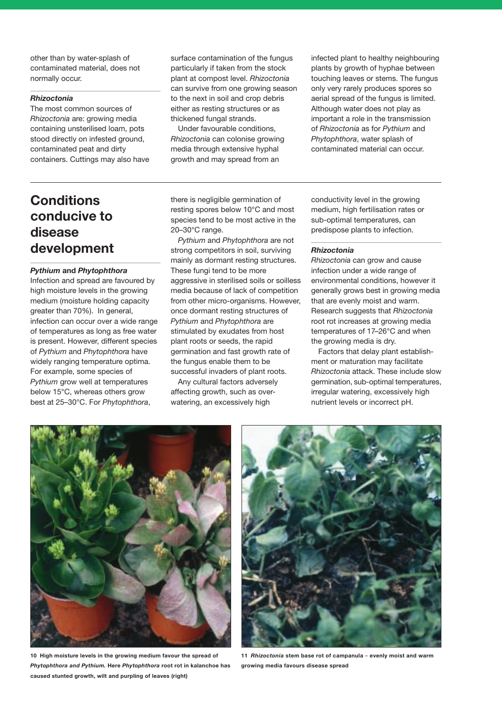other than by water-splash of contaminated material, does not normally occur.

#### *Rhizoctonia*

The most common sources of *Rhizoctonia* are: growing media containing unsterilised loam, pots stood directly on infested ground, contaminated peat and dirty containers. Cuttings may also have surface contamination of the fungus particularly if taken from the stock plant at compost level. *Rhizoctonia* can survive from one growing season to the next in soil and crop debris either as resting structures or as thickened fungal strands.

Under favourable conditions, *Rhizoctonia* can colonise growing media through extensive hyphal growth and may spread from an

infected plant to healthy neighbouring plants by growth of hyphae between touching leaves or stems. The fungus only very rarely produces spores so aerial spread of the fungus is limited. Although water does not play as important a role in the transmission of *Rhizoctonia* as for *Pythium* and *Phytophthora*, water splash of contaminated material can occur.

# **Conditions conducive to disease development**

#### *Pythium* **and** *Phytophthora*

Infection and spread are favoured by high moisture levels in the growing medium (moisture holding capacity greater than 70%). In general, infection can occur over a wide range of temperatures as long as free water is present. However, different species of *Pythium* and *Phytophthora* have widely ranging temperature optima. For example, some species of *Pythium* grow well at temperatures below 15°C, whereas others grow best at 25–30°C. For *Phytophthora*,

there is negligible germination of resting spores below 10°C and most species tend to be most active in the 20–30°C range.

*Pythium* and *Phytophthora* are not strong competitors in soil, surviving mainly as dormant resting structures. These fungi tend to be more aggressive in sterilised soils or soilless media because of lack of competition from other micro-organisms. However, once dormant resting structures of *Pythium* and *Phytophthora* are stimulated by exudates from host plant roots or seeds, the rapid germination and fast growth rate of the fungus enable them to be successful invaders of plant roots.

Any cultural factors adversely affecting growth, such as overwatering, an excessively high

conductivity level in the growing medium, high fertilisation rates or sub-optimal temperatures, can predispose plants to infection.

#### *Rhizoctonia*

*Rhizoctonia* can grow and cause infection under a wide range of environmental conditions, however it generally grows best in growing media that are evenly moist and warm. Research suggests that *Rhizoctonia* root rot increases at growing media temperatures of 17–26°C and when the growing media is dry.

Factors that delay plant establishment or maturation may facilitate *Rhizoctonia* attack. These include slow germination, sub-optimal temperatures, irregular watering, excessively high nutrient levels or incorrect pH.



**10 High moisture levels in the growing medium favour the spread of** *Phytophthora and Pythium.* **Here** *Phytophthora* **root rot in kalanchoe has caused stunted growth, wilt and purpling of leaves (right)**



**11** *Rhizoctonia* **stem base rot of campanula** – **evenly moist and warm growing media favours disease spread**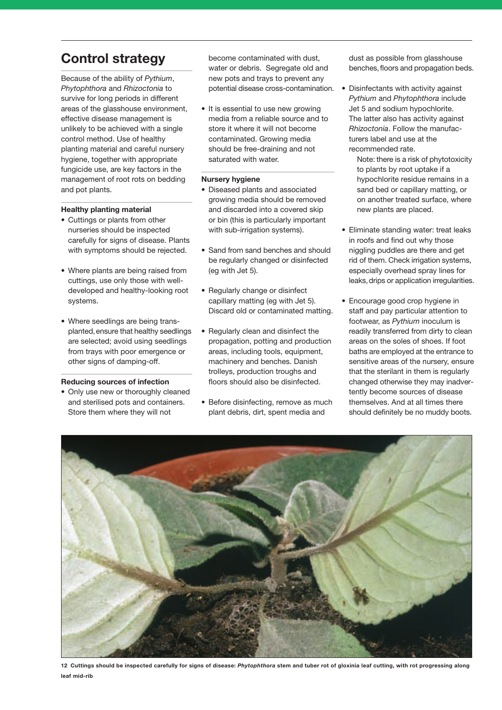# **Control strategy**

Because of the ability of *Pythium*, *Phytophthora* and *Rhizoctonia* to survive for long periods in different areas of the glasshouse environment, effective disease management is unlikely to be achieved with a single control method. Use of healthy planting material and careful nursery hygiene, together with appropriate fungicide use, are key factors in the management of root rots on bedding and pot plants.

### **Healthy planting material**

- Cuttings or plants from other nurseries should be inspected carefully for signs of disease. Plants with symptoms should be rejected.
- Where plants are being raised from cuttings, use only those with welldeveloped and healthy-looking root systems.
- Where seedlings are being transplanted,ensure that healthy seedlings are selected; avoid using seedlings from trays with poor emergence or other signs of damping-off.

### **Reducing sources of infection**

• Only use new or thoroughly cleaned and sterilised pots and containers. Store them where they will not

become contaminated with dust, water or debris. Segregate old and new pots and trays to prevent any potential disease cross-contamination.

• It is essential to use new growing media from a reliable source and to store it where it will not become contaminated. Growing media should be free-draining and not saturated with water.

#### **Nursery hygiene**

- Diseased plants and associated growing media should be removed and discarded into a covered skip or bin (this is particularly important with sub-irrigation systems).
- Sand from sand benches and should be regularly changed or disinfected (eg with Jet 5).
- Regularly change or disinfect capillary matting (eg with Jet 5). Discard old or contaminated matting.
- Regularly clean and disinfect the propagation, potting and production areas, including tools, equipment, machinery and benches. Danish trolleys, production troughs and floors should also be disinfected.
- Before disinfecting, remove as much plant debris, dirt, spent media and

dust as possible from glasshouse benches, floors and propagation beds.

- Disinfectants with activity against *Pythium* and *Phytophthora* include Jet 5 and sodium hypochlorite. The latter also has activity against *Rhizoctonia*. Follow the manufacturers label and use at the recommended rate.
	- Note: there is a risk of phytotoxicity to plants by root uptake if a hypochlorite residue remains in a sand bed or capillary matting, or on another treated surface, where new plants are placed.
- Eliminate standing water: treat leaks in roofs and find out why those niggling puddles are there and get rid of them. Check irrigation systems, especially overhead spray lines for leaks,drips or application irregularities.
- Encourage good crop hygiene in staff and pay particular attention to footwear, as *Pythium* inoculum is readily transferred from dirty to clean areas on the soles of shoes. If foot baths are employed at the entrance to sensitive areas of the nursery, ensure that the sterilant in them is regularly changed otherwise they may inadvertently become sources of disease themselves. And at all times there should definitely be no muddy boots.



**12 Cuttings should be inspected carefully for signs of disease:** *Phytophthora* **stem and tuber rot of gloxinia leaf cutting, with rot progressing along leaf mid-rib**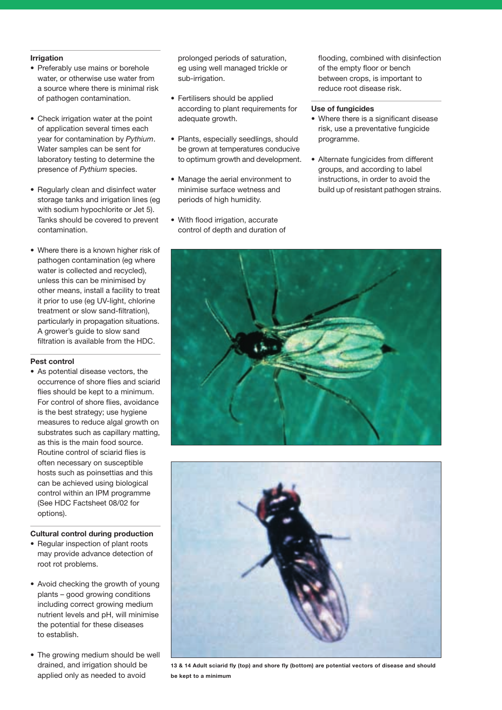### **Irrigation**

- Preferably use mains or borehole water, or otherwise use water from a source where there is minimal risk of pathogen contamination.
- Check irrigation water at the point of application several times each year for contamination by *Pythium*. Water samples can be sent for laboratory testing to determine the presence of *Pythium* species.
- Regularly clean and disinfect water storage tanks and irrigation lines (eg with sodium hypochlorite or Jet 5). Tanks should be covered to prevent contamination.
- Where there is a known higher risk of pathogen contamination (eg where water is collected and recycled), unless this can be minimised by other means, install a facility to treat it prior to use (eg UV-light, chlorine treatment or slow sand-filtration), particularly in propagation situations. A grower's guide to slow sand filtration is available from the HDC.

### **Pest control**

• As potential disease vectors, the occurrence of shore flies and sciarid flies should be kept to a minimum. For control of shore flies, avoidance is the best strategy; use hygiene measures to reduce algal growth on substrates such as capillary matting, as this is the main food source. Routine control of sciarid flies is often necessary on susceptible hosts such as poinsettias and this can be achieved using biological control within an IPM programme (See HDC Factsheet 08/02 for options).

### **Cultural control during production**

- Regular inspection of plant roots may provide advance detection of root rot problems.
- Avoid checking the growth of young plants – good growing conditions including correct growing medium nutrient levels and pH, will minimise the potential for these diseases to establish.
- The growing medium should be well drained, and irrigation should be applied only as needed to avoid

prolonged periods of saturation, eg using well managed trickle or sub-irrigation.

- Fertilisers should be applied according to plant requirements for adequate growth.
- Plants, especially seedlings, should be grown at temperatures conducive to optimum growth and development.
- Manage the aerial environment to minimise surface wetness and periods of high humidity.
- With flood irrigation, accurate control of depth and duration of

flooding, combined with disinfection of the empty floor or bench between crops, is important to reduce root disease risk.

### **Use of fungicides**

- Where there is a significant disease risk, use a preventative fungicide programme.
- Alternate fungicides from different groups, and according to label instructions, in order to avoid the build up of resistant pathogen strains.





**13 & 14 Adult sciarid fly (top) and shore fly (bottom) are potential vectors of disease and should be kept to a minimum**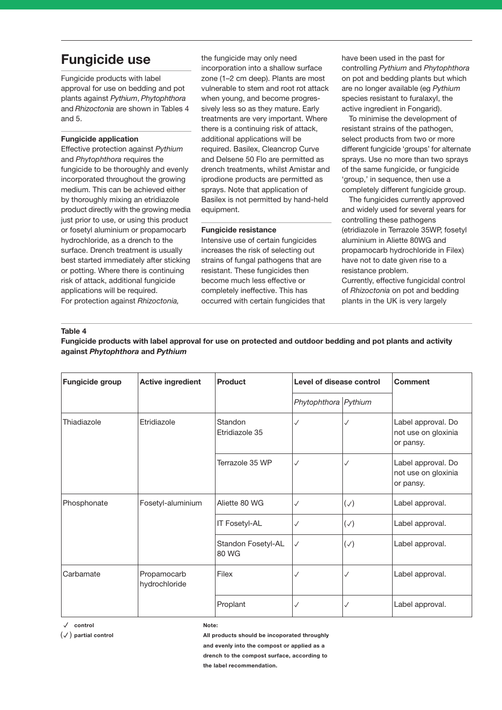# **Fungicide use**

Fungicide products with label approval for use on bedding and pot plants against *Pythium*, *Phytophthora* and *Rhizoctonia* are shown in Tables 4 and 5.

### **Fungicide application**

Effective protection against *Pythium* and *Phytophthora* requires the fungicide to be thoroughly and evenly incorporated throughout the growing medium. This can be achieved either by thoroughly mixing an etridiazole product directly with the growing media just prior to use, or using this product or fosetyl aluminium or propamocarb hydrochloride, as a drench to the surface. Drench treatment is usually best started immediately after sticking or potting. Where there is continuing risk of attack, additional fungicide applications will be required. For protection against *Rhizoctonia,*

the fungicide may only need incorporation into a shallow surface zone (1–2 cm deep). Plants are most vulnerable to stem and root rot attack when young, and become progressively less so as they mature. Early treatments are very important. Where there is a continuing risk of attack, additional applications will be required. Basilex, Cleancrop Curve and Delsene 50 Flo are permitted as drench treatments, whilst Amistar and iprodione products are permitted as sprays. Note that application of Basilex is not permitted by hand-held equipment.

#### **Fungicide resistance**

Intensive use of certain fungicides increases the risk of selecting out strains of fungal pathogens that are resistant. These fungicides then become much less effective or completely ineffective. This has occurred with certain fungicides that have been used in the past for controlling *Pythium* and *Phytophthora* on pot and bedding plants but which are no longer available (eg *Pythium* species resistant to furalaxyl, the active ingredient in Fongarid).

To minimise the development of resistant strains of the pathogen, select products from two or more different fungicide 'groups' for alternate sprays. Use no more than two sprays of the same fungicide, or fungicide 'group,' in sequence, then use a completely different fungicide group.

The fungicides currently approved and widely used for several years for controlling these pathogens (etridiazole in Terrazole 35WP, fosetyl aluminium in Aliette 80WG and propamocarb hydrochloride in Filex) have not to date given rise to a resistance problem.

Currently, effective fungicidal control of *Rhizoctonia* on pot and bedding plants in the UK is very largely

### **Table 4**

**Fungicide products with label approval for use on protected and outdoor bedding and pot plants and activity against** *Phytophthora* **and** *Pythium* 

| <b>Fungicide group</b> | <b>Active ingredient</b>     | <b>Product</b>              | Level of disease control |          | <b>Comment</b>                                         |
|------------------------|------------------------------|-----------------------------|--------------------------|----------|--------------------------------------------------------|
|                        |                              |                             | Phytophthora Pythium     |          |                                                        |
| Thiadiazole            | Etridiazole                  | Standon<br>Etridiazole 35   | ✓                        | ✓        | Label approval. Do<br>not use on gloxinia<br>or pansy. |
|                        |                              | Terrazole 35 WP             | ✓                        | √        | Label approval. Do<br>not use on gloxinia<br>or pansy. |
| Phosphonate            | Fosetyl-aluminium            | Aliette 80 WG               | ✓                        | $(\vee)$ | Label approval.                                        |
|                        |                              | IT Fosetyl-AL               | ✓                        | $(\vee)$ | Label approval.                                        |
|                        |                              | Standon Fosetyl-AL<br>80 WG | ✓                        | $(\vee)$ | Label approval.                                        |
| Carbamate              | Propamocarb<br>hydrochloride | Filex                       | $\checkmark$             | J        | Label approval.                                        |
|                        |                              | Proplant                    | ✓                        | √        | Label approval.                                        |

**control**

( ) **partial control**

**Note:** 

**All products should be incoporated throughly and evenly into the compost or applied as a drench to the compost surface, according to the label recommendation.**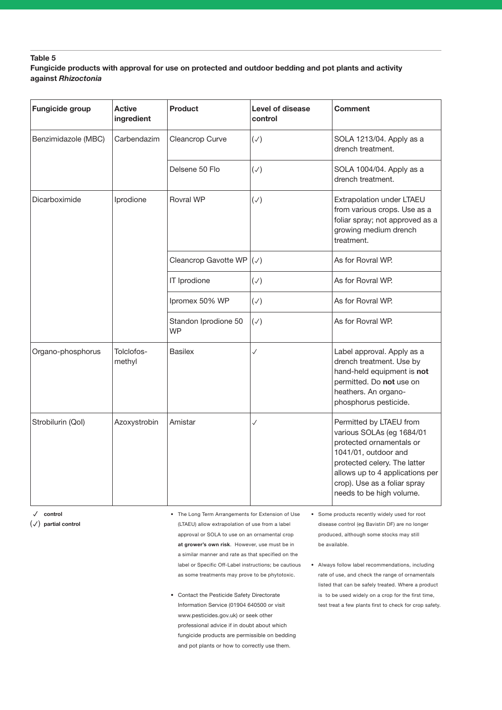### **Table 5**

# **Fungicide products with approval for use on protected and outdoor bedding and pot plants and activity against** *Rhizoctonia*

| Fungicide group     | <b>Active</b><br>ingredient | <b>Product</b>                    | Level of disease<br>control | <b>Comment</b>                                                                                                                                                                                                                          |
|---------------------|-----------------------------|-----------------------------------|-----------------------------|-----------------------------------------------------------------------------------------------------------------------------------------------------------------------------------------------------------------------------------------|
| Benzimidazole (MBC) | Carbendazim                 | Cleancrop Curve                   | $(\vee)$                    | SOLA 1213/04. Apply as a<br>drench treatment.                                                                                                                                                                                           |
|                     |                             | Delsene 50 Flo                    | $(\vee)$                    | SOLA 1004/04. Apply as a<br>drench treatment.                                                                                                                                                                                           |
| Dicarboximide       | Iprodione                   | <b>Rovral WP</b>                  | $(\vee)$                    | Extrapolation under LTAEU<br>from various crops. Use as a<br>foliar spray; not approved as a<br>growing medium drench<br>treatment.                                                                                                     |
|                     |                             | Cleancrop Gavotte WP              | $(\vee)$                    | As for Rovral WP.                                                                                                                                                                                                                       |
|                     |                             | IT Iprodione                      | $(\vee)$                    | As for Rovral WP.                                                                                                                                                                                                                       |
|                     |                             | Ipromex 50% WP                    | $(\vee)$                    | As for Rovral WP.                                                                                                                                                                                                                       |
|                     |                             | Standon Iprodione 50<br><b>WP</b> | $(\vee)$                    | As for Rovral WP.                                                                                                                                                                                                                       |
| Organo-phosphorus   | Tolclofos-<br>methyl        | <b>Basilex</b>                    | $\checkmark$                | Label approval. Apply as a<br>drench treatment. Use by<br>hand-held equipment is not<br>permitted. Do not use on<br>heathers. An organo-<br>phosphorus pesticide.                                                                       |
| Strobilurin (Qol)   | Azoxystrobin                | Amistar                           | $\checkmark$                | Permitted by LTAEU from<br>various SOLAs (eg 1684/01<br>protected ornamentals or<br>1041/01, outdoor and<br>protected celery. The latter<br>allows up to 4 applications per<br>crop). Use as a foliar spray<br>needs to be high volume. |

**control**

( ) **partial control**

**•** The Long Term Arrangements for Extension of Use (LTAEU) allow extrapolation of use from a label approval or SOLA to use on an ornamental crop **at grower's own risk**. However, use must be in a similar manner and rate as that specified on the label or Specific Off-Label instructions; be cautious as some treatments may prove to be phytotoxic.

- Contact the Pesticide Safety Directorate Information Service (01904 640500 or visit www.pesticides.gov.uk) or seek other professional advice if in doubt about which fungicide products are permissible on bedding and pot plants or how to correctly use them.
- **•** Some products recently widely used for root disease control (eg Bavistin DF) are no longer produced, although some stocks may still be available.
- **•** Always follow label recommendations, including rate of use, and check the range of ornamentals listed that can be safely treated. Where a product is to be used widely on a crop for the first time, test treat a few plants first to check for crop safety.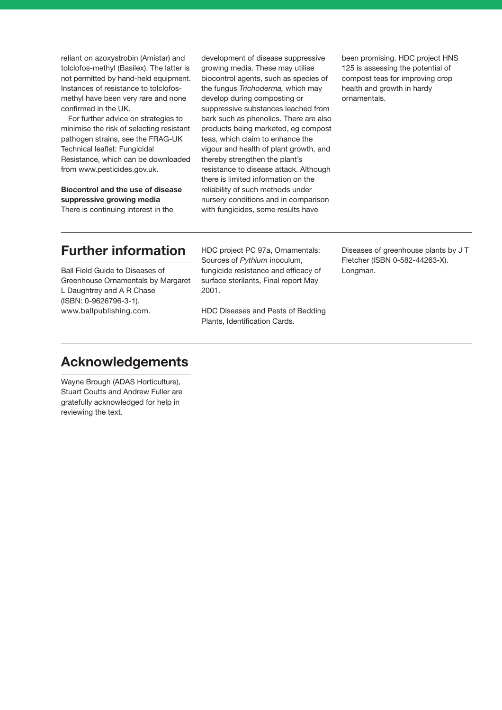reliant on azoxystrobin (Amistar) and tolclofos-methyl (Basilex). The latter is not permitted by hand-held equipment. Instances of resistance to tolclofosmethyl have been very rare and none confirmed in the UK.

For further advice on strategies to minimise the risk of selecting resistant pathogen strains, see the FRAG-UK Technical leaflet: Fungicidal Resistance, which can be downloaded from www.pesticides.gov.uk.

**Biocontrol and the use of disease suppressive growing media** There is continuing interest in the

development of disease suppressive growing media. These may utilise biocontrol agents, such as species of the fungus *Trichoderma,* which may develop during composting or suppressive substances leached from bark such as phenolics. There are also products being marketed, eg compost teas, which claim to enhance the vigour and health of plant growth, and thereby strengthen the plant's resistance to disease attack. Although there is limited information on the reliability of such methods under nursery conditions and in comparison with fungicides, some results have

been promising. HDC project HNS 125 is assessing the potential of compost teas for improving crop health and growth in hardy ornamentals.

# **Further information**

Ball Field Guide to Diseases of Greenhouse Ornamentals by Margaret L Daughtrey and A R Chase (ISBN: 0-9626796-3-1). www.ballpublishing.com.

HDC project PC 97a, Ornamentals: Sources of *Pythium* inoculum, fungicide resistance and efficacy of surface sterilants, Final report May 2001.

HDC Diseases and Pests of Bedding Plants, Identification Cards.

Diseases of greenhouse plants by J T Fletcher (ISBN 0-582-44263-X). Longman.

# **Acknowledgements**

Wayne Brough (ADAS Horticulture), Stuart Coutts and Andrew Fuller are gratefully acknowledged for help in reviewing the text.